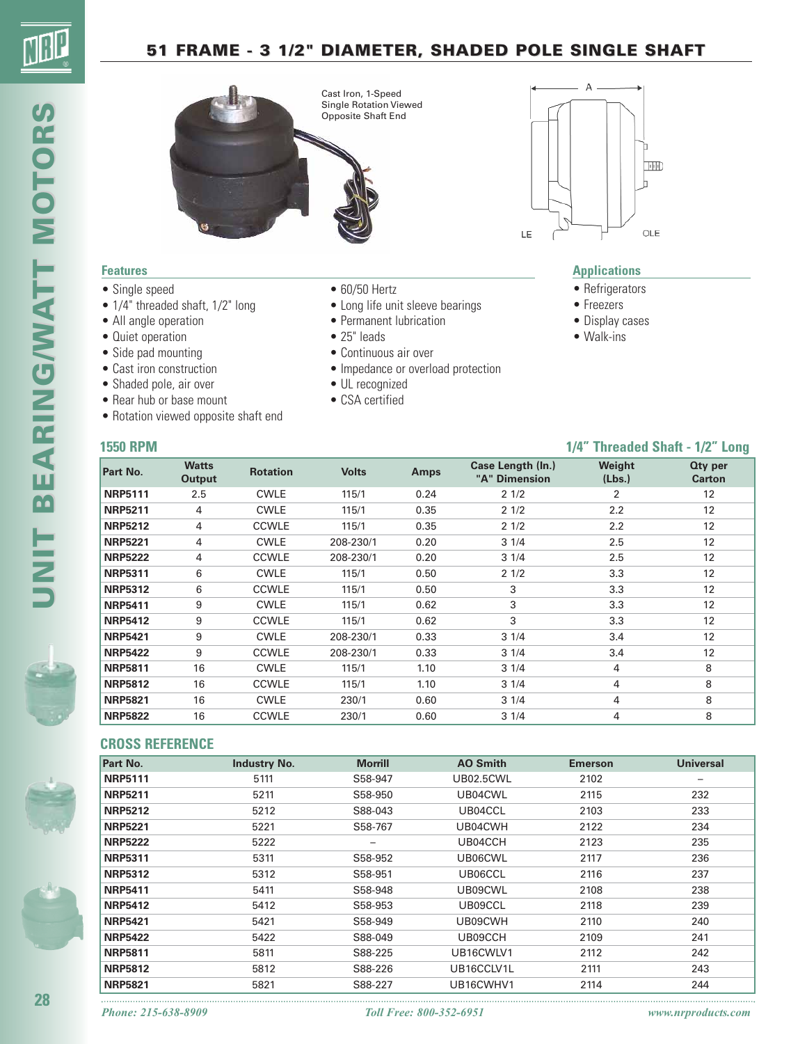### **51 FRAME - 3 1/2" DIAMETER, SHADED POLE SINGLE SHAFT**





#### **Features**

- Single speed
- $1/4$ " threaded shaft,  $1/2$ " long
- All angle operation
- Quiet operation
- Side pad mounting
- Cast iron construction
- Shaded pole, air over
- Rear hub or base mount
- Rotation viewed opposite shaft end
- 60/50 Hertz
- Long life unit sleeve bearings
- Permanent lubrication
- 25" leads
- Continuous air over
- Impedance or overload protection
- UL recognized
- CSA certified



#### **Applications**

- Refrigerators
- Freezers
- Display cases
- Walk-ins

#### **1550 RPM 1/4" Threaded Shaft - 1/2" Long**

| Part No.       | <b>Watts</b><br>Output | <b>Rotation</b> | <b>Volts</b> | <b>Amps</b> | Case Length (In.)<br>"A" Dimension | Weight<br>(Lbs.) | <b>Qty per</b><br><b>Carton</b> |
|----------------|------------------------|-----------------|--------------|-------------|------------------------------------|------------------|---------------------------------|
| <b>NRP5111</b> | 2.5                    | <b>CWLE</b>     | 115/1        | 0.24        | 21/2                               | 2                | 12                              |
| <b>NRP5211</b> | 4                      | <b>CWLE</b>     | 115/1        | 0.35        | 21/2                               | 2.2              | 12                              |
| <b>NRP5212</b> | 4                      | <b>CCWLE</b>    | 115/1        | 0.35        | 21/2                               | 2.2              | 12                              |
| <b>NRP5221</b> | 4                      | <b>CWLE</b>     | 208-230/1    | 0.20        | 31/4                               | 2.5              | 12                              |
| <b>NRP5222</b> | 4                      | <b>CCWLE</b>    | 208-230/1    | 0.20        | 31/4                               | 2.5              | 12                              |
| <b>NRP5311</b> | 6                      | <b>CWLE</b>     | 115/1        | 0.50        | 21/2                               | 3.3              | 12                              |
| <b>NRP5312</b> | 6                      | <b>CCWLE</b>    | 115/1        | 0.50        | 3                                  | 3.3              | 12                              |
| <b>NRP5411</b> | 9                      | <b>CWLE</b>     | 115/1        | 0.62        | 3                                  | 3.3              | 12                              |
| <b>NRP5412</b> | 9                      | <b>CCWLE</b>    | 115/1        | 0.62        | 3                                  | 3.3              | 12 <sup>2</sup>                 |
| <b>NRP5421</b> | 9                      | <b>CWLE</b>     | 208-230/1    | 0.33        | 31/4                               | 3.4              | 12                              |
| <b>NRP5422</b> | 9                      | <b>CCWLE</b>    | 208-230/1    | 0.33        | 31/4                               | 3.4              | 12                              |
| <b>NRP5811</b> | 16                     | <b>CWLE</b>     | 115/1        | 1.10        | 31/4                               | 4                | 8                               |
| <b>NRP5812</b> | 16                     | <b>CCWLE</b>    | 115/1        | 1.10        | 31/4                               | 4                | 8                               |
| <b>NRP5821</b> | 16                     | <b>CWLE</b>     | 230/1        | 0.60        | 31/4                               | 4                | 8                               |
| <b>NRP5822</b> | 16                     | <b>CCWLE</b>    | 230/1        | 0.60        | 31/4                               | 4                | 8                               |

#### **CROSS REFERENCE**

| Part No.       | <b>Industry No.</b> | <b>Morrill</b>    | <b>AO Smith</b>  | <b>Emerson</b> | <b>Universal</b> |
|----------------|---------------------|-------------------|------------------|----------------|------------------|
| <b>NRP5111</b> | 5111                | S58-947           | <b>UB02.5CWL</b> | 2102           | -                |
| <b>NRP5211</b> | 5211                | S58-950           | UB04CWL          | 2115           | 232              |
| <b>NRP5212</b> | 5212                | S88-043           | UB04CCL          | 2103           | 233              |
| <b>NRP5221</b> | 5221                | S58-767           | UB04CWH          | 2122           | 234              |
| <b>NRP5222</b> | 5222                | $\qquad \qquad -$ | UB04CCH          | 2123           | 235              |
| <b>NRP5311</b> | 5311                | S58-952           | UB06CWL          | 2117           | 236              |
| <b>NRP5312</b> | 5312                | S58-951           | UB06CCL          | 2116           | 237              |
| <b>NRP5411</b> | 5411                | S58-948           | UB09CWL          | 2108           | 238              |
| <b>NRP5412</b> | 5412                | S58-953           | UB09CCL          | 2118           | 239              |
| <b>NRP5421</b> | 5421                | S58-949           | UB09CWH          | 2110           | 240              |
| <b>NRP5422</b> | 5422                | S88-049           | UB09CCH          | 2109           | 241              |
| <b>NRP5811</b> | 5811                | S88-225           | UB16CWLV1        | 2112           | 242              |
| <b>NRP5812</b> | 5812                | S88-226           | UB16CCLV1L       | 2111           | 243              |
| <b>NRP5821</b> | 5821                | S88-227           | UB16CWHV1        | 2114           | 244              |

**28**